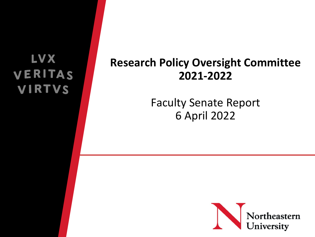#### V X VERITAS **VIRTVS**

#### **Research Policy Oversight Committee 2021-2022**

#### Faculty Senate Report 6 April 2022

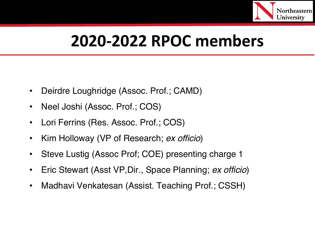

## **2020-2022 RPOC members**

- Deirdre Loughridge (Assoc. Prof.; CAMD)
- Neel Joshi (Assoc. Prof.; COS)
- Lori Ferrins (Res. Assoc. Prof.; COS)
- Kim Holloway (VP of Research; *ex officio*)
- Steve Lustig (Assoc Prof; COE) presenting charge 1
- Eric Stewart (Asst VP,Dir., Space Planning; *ex officio*)
- Madhavi Venkatesan (Assist. Teaching Prof.; CSSH)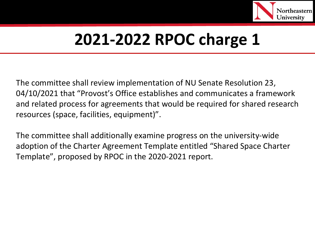

The committee shall review implementation of NU Senate Resolution 23, 04/10/2021 that "Provost's Office establishes and communicates a framework and related process for agreements that would be required for shared research resources (space, facilities, equipment)".

The committee shall additionally examine progress on the university-wide adoption of the Charter Agreement Template entitled "Shared Space Charter Template", proposed by RPOC in the 2020-2021 report.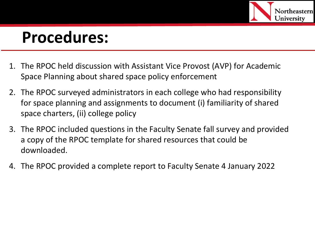

- 1. The RPOC held discussion with Assistant Vice Provost (AVP) for Academic Space Planning about shared space policy enforcement
- 2. The RPOC surveyed administrators in each college who had responsibility for space planning and assignments to document (i) familiarity of shared space charters, (ii) college policy
- 3. The RPOC included questions in the Faculty Senate fall survey and provided a copy of the RPOC template for shared resources that could be downloaded.
- 4. The RPOC provided a complete report to Faculty Senate 4 January 2022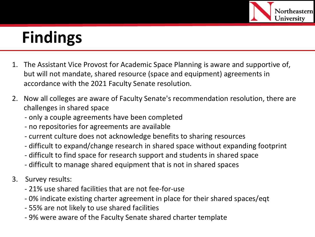

- 1. The Assistant Vice Provost for Academic Space Planning is aware and supportive of, but will not mandate, shared resource (space and equipment) agreements in accordance with the 2021 Faculty Senate resolution.
- 2. Now all colleges are aware of Faculty Senate's recommendation resolution, there are challenges in shared space
	- only a couple agreements have been completed
	- no repositories for agreements are available
	- current culture does not acknowledge benefits to sharing resources
	- difficult to expand/change research in shared space without expanding footprint
	- difficult to find space for research support and students in shared space
	- difficult to manage shared equipment that is not in shared spaces
- 3. Survey results:
	- 21% use shared facilities that are not fee-for-use
	- 0% indicate existing charter agreement in place for their shared spaces/eqt
	- 55% are not likely to use shared facilities
	- 9% were aware of the Faculty Senate shared charter template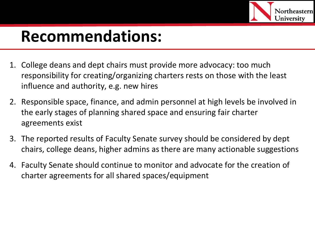

#### **Recommendations:**

- 1. College deans and dept chairs must provide more advocacy: too much responsibility for creating/organizing charters rests on those with the least influence and authority, e.g. new hires
- 2. Responsible space, finance, and admin personnel at high levels be involved in the early stages of planning shared space and ensuring fair charter agreements exist
- 3. The reported results of Faculty Senate survey should be considered by dept chairs, college deans, higher admins as there are many actionable suggestions
- 4. Faculty Senate should continue to monitor and advocate for the creation of charter agreements for all shared spaces/equipment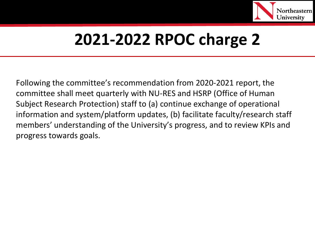

Following the committee's recommendation from 2020-2021 report, the committee shall meet quarterly with NU-RES and HSRP (Office of Human Subject Research Protection) staff to (a) continue exchange of operational information and system/platform updates, (b) facilitate faculty/research staff members' understanding of the University's progress, and to review KPIs and progress towards goals.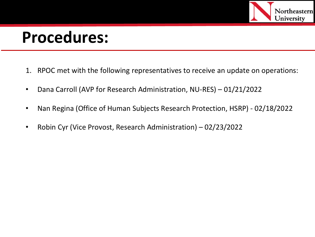

- 1. RPOC met with the following representatives to receive an update on operations:
- Dana Carroll (AVP for Research Administration, NU-RES) 01/21/2022
- Nan Regina (Office of Human Subjects Research Protection, HSRP) 02/18/2022
- Robin Cyr (Vice Provost, Research Administration) 02/23/2022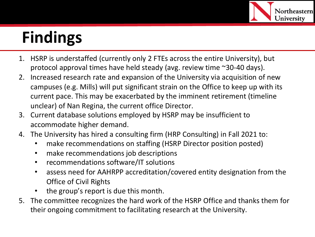

- 1. HSRP is understaffed (currently only 2 FTEs across the entire University), but protocol approval times have held steady (avg. review time ~30-40 days).
- 2. Increased research rate and expansion of the University via acquisition of new campuses (e.g. Mills) will put significant strain on the Office to keep up with its current pace. This may be exacerbated by the imminent retirement (timeline unclear) of Nan Regina, the current office Director.
- 3. Current database solutions employed by HSRP may be insufficient to accommodate higher demand.
- 4. The University has hired a consulting firm (HRP Consulting) in Fall 2021 to:
	- make recommendations on staffing (HSRP Director position posted)
	- make recommendations job descriptions
	- recommendations software/IT solutions
	- assess need for AAHRPP accreditation/covered entity designation from the Office of Civil Rights
	- the group's report is due this month.
- 5. The committee recognizes the hard work of the HSRP Office and thanks them for their ongoing commitment to facilitating research at the University.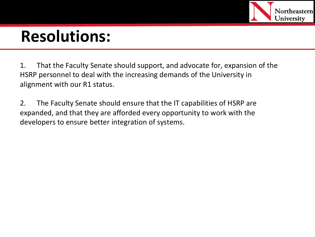

#### **Resolutions:**

1. That the Faculty Senate should support, and advocate for, expansion of the HSRP personnel to deal with the increasing demands of the University in alignment with our R1 status.

2. The Faculty Senate should ensure that the IT capabilities of HSRP are expanded, and that they are afforded every opportunity to work with the developers to ensure better integration of systems.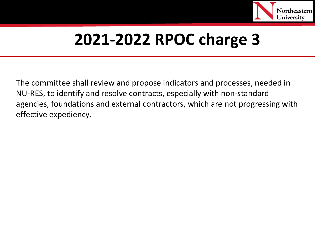

The committee shall review and propose indicators and processes, needed in NU-RES, to identify and resolve contracts, especially with non-standard agencies, foundations and external contractors, which are not progressing with effective expediency.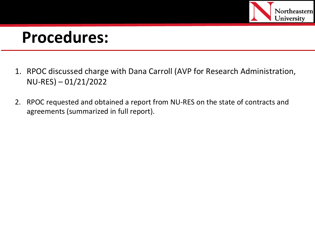

- 1. RPOC discussed charge with Dana Carroll (AVP for Research Administration, NU-RES) – 01/21/2022
- 2. RPOC requested and obtained a report from NU-RES on the state of contracts and agreements (summarized in full report).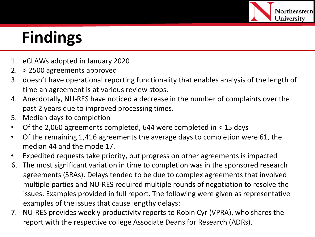

- 1. eCLAWs adopted in January 2020
- 2. > 2500 agreements approved
- 3. doesn't have operational reporting functionality that enables analysis of the length of time an agreement is at various review stops.
- 4. Anecdotally, NU-RES have noticed a decrease in the number of complaints over the past 2 years due to improved processing times.
- 5. Median days to completion
- Of the 2,060 agreements completed, 644 were completed in < 15 days
- Of the remaining 1,416 agreements the average days to completion were 61, the median 44 and the mode 17.
- Expedited requests take priority, but progress on other agreements is impacted
- 6. The most significant variation in time to completion was in the sponsored research agreements (SRAs). Delays tended to be due to complex agreements that involved multiple parties and NU-RES required multiple rounds of negotiation to resolve the issues. Examples provided in full report. The following were given as representative examples of the issues that cause lengthy delays:
- 7. NU-RES provides weekly productivity reports to Robin Cyr (VPRA), who shares the report with the respective college Associate Deans for Research (ADRs).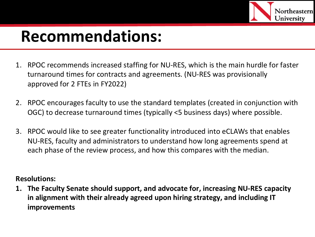

#### **Recommendations:**

- 1. RPOC recommends increased staffing for NU-RES, which is the main hurdle for faster turnaround times for contracts and agreements. (NU-RES was provisionally approved for 2 FTEs in FY2022)
- 2. RPOC encourages faculty to use the standard templates (created in conjunction with OGC) to decrease turnaround times (typically <5 business days) where possible.
- 3. RPOC would like to see greater functionality introduced into eCLAWs that enables NU-RES, faculty and administrators to understand how long agreements spend at each phase of the review process, and how this compares with the median.

#### **Resolutions:**

**1. The Faculty Senate should support, and advocate for, increasing NU-RES capacity in alignment with their already agreed upon hiring strategy, and including IT improvements**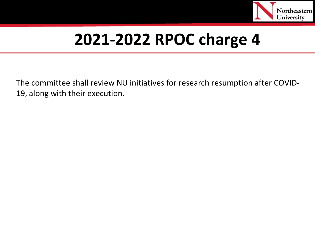

The committee shall review NU initiatives for research resumption after COVID-19, along with their execution.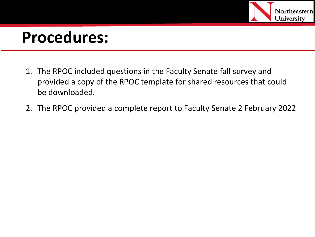

- 1. The RPOC included questions in the Faculty Senate fall survey and provided a copy of the RPOC template for shared resources that could be downloaded.
- 2. The RPOC provided a complete report to Faculty Senate 2 February 2022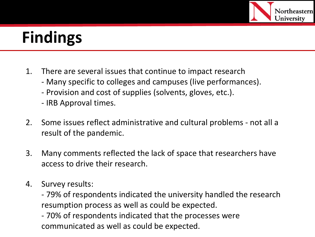

- 1. There are several issues that continue to impact research
	- Many specific to colleges and campuses (live performances).
	- Provision and cost of supplies (solvents, gloves, etc.).
	- IRB Approval times.
- 2. Some issues reflect administrative and cultural problems not all a result of the pandemic.
- 3. Many comments reflected the lack of space that researchers have access to drive their research.
- 4. Survey results:

- 79% of respondents indicated the university handled the research resumption process as well as could be expected.

- 70% of respondents indicated that the processes were communicated as well as could be expected.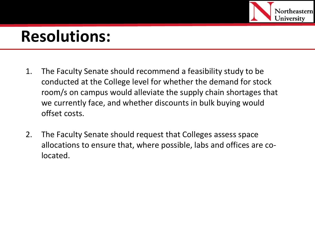

### **Resolutions:**

- 1. The Faculty Senate should recommend a feasibility study to be conducted at the College level for whether the demand for stock room/s on campus would alleviate the supply chain shortages that we currently face, and whether discounts in bulk buying would offset costs.
- 2. The Faculty Senate should request that Colleges assess space allocations to ensure that, where possible, labs and offices are colocated.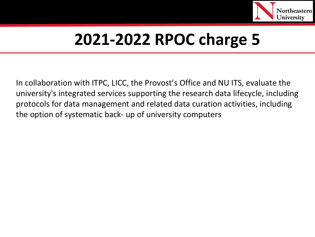

In collaboration with ITPC, LICC, the Provost's Office and NU ITS, evaluate the university's integrated services supporting the research data lifecycle, including protocols for data management and related data curation activities, including the option of systematic back- up of university computers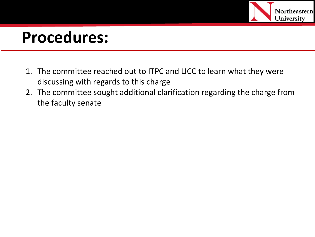

- 1. The committee reached out to ITPC and LICC to learn what they were discussing with regards to this charge
- 2. The committee sought additional clarification regarding the charge from the faculty senate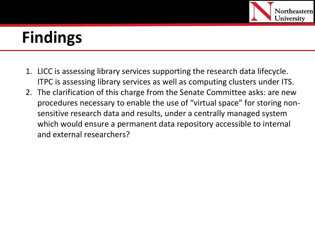

- 1. LICC is assessing library services supporting the research data lifecycle. ITPC is assessing library services as well as computing clusters under ITS.
- 2. The clarification of this charge from the Senate Committee asks: are new procedures necessary to enable the use of "virtual space" for storing nonsensitive research data and results, under a centrally managed system which would ensure a permanent data repository accessible to internal and external researchers?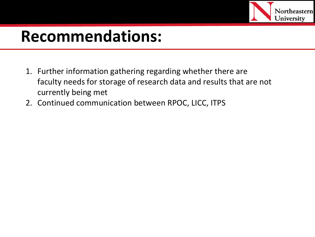

#### **Recommendations:**

- 1. Further information gathering regarding whether there are faculty needs for storage of research data and results that are not currently being met
- 2. Continued communication between RPOC, LICC, ITPS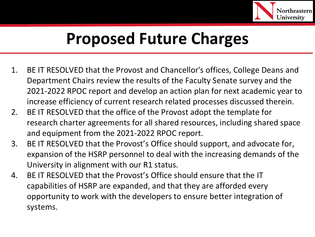

## **Proposed Future Charges**

- 1. BE IT RESOLVED that the Provost and Chancellor's offices, College Deans and Department Chairs review the results of the Faculty Senate survey and the 2021-2022 RPOC report and develop an action plan for next academic year to increase efficiency of current research related processes discussed therein.
- 2. BE IT RESOLVED that the office of the Provost adopt the template for research charter agreements for all shared resources, including shared space and equipment from the 2021-2022 RPOC report.
- 3. BE IT RESOLVED that the Provost's Office should support, and advocate for, expansion of the HSRP personnel to deal with the increasing demands of the University in alignment with our R1 status.
- 4. BE IT RESOLVED that the Provost's Office should ensure that the IT capabilities of HSRP are expanded, and that they are afforded every opportunity to work with the developers to ensure better integration of systems.